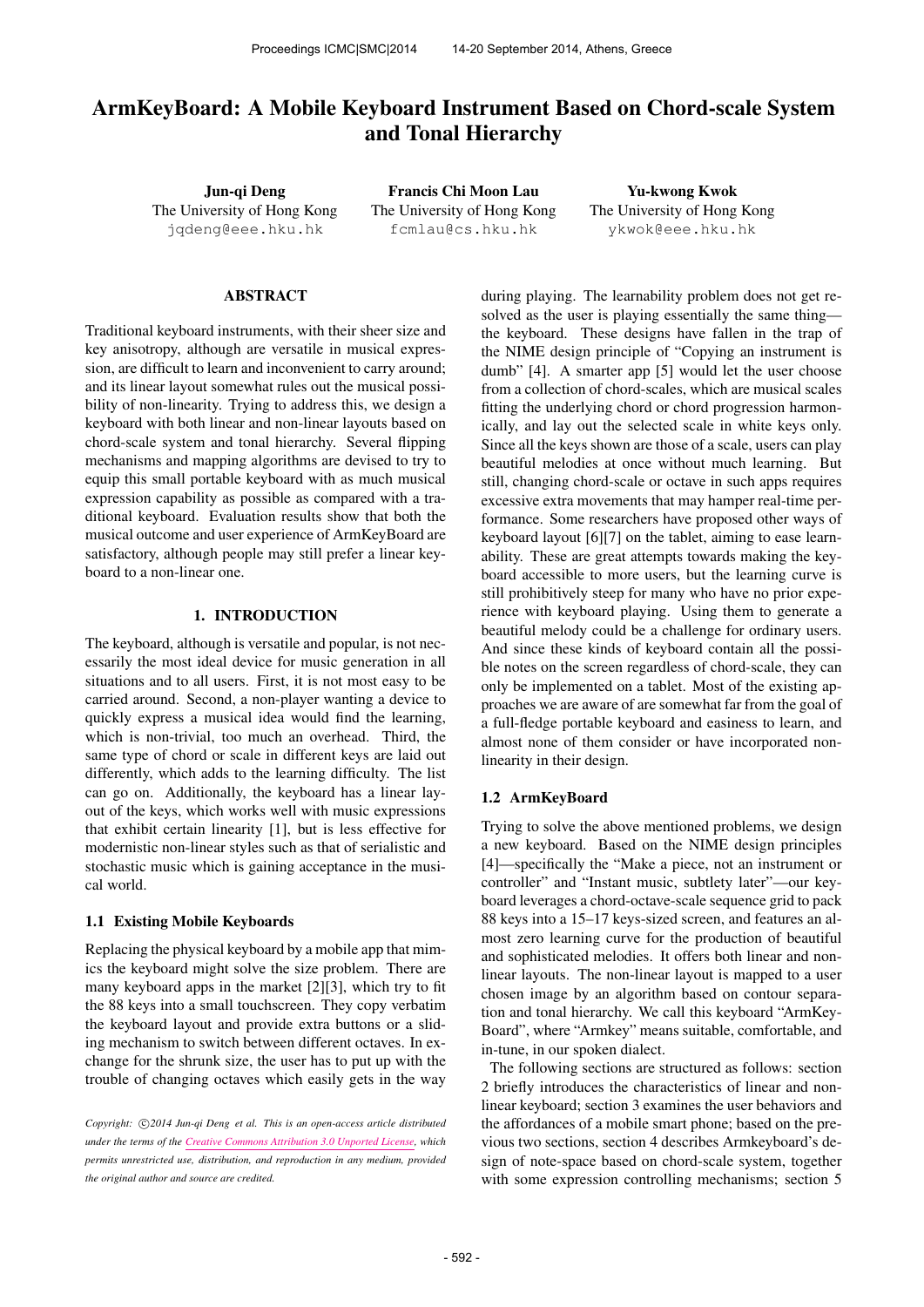# ArmKeyBoard: A Mobile Keyboard Instrument Based on Chord-scale System and Tonal Hierarchy

Jun-qi Deng The University of Hong Kong [jqdeng@eee.hku.hk](mailto:jqdeng@eee.hku.hk)

Francis Chi Moon Lau The University of Hong Kong [fcmlau@cs.hku.hk](mailto:fcmlau@cs.hku.hk)

Yu-kwong Kwok The University of Hong Kong [ykwok@eee.hku.hk](mailto:ykwok@eee.hku.hk)

## ABSTRACT

Traditional keyboard instruments, with their sheer size and key anisotropy, although are versatile in musical expression, are difficult to learn and inconvenient to carry around; and its linear layout somewhat rules out the musical possibility of non-linearity. Trying to address this, we design a keyboard with both linear and non-linear layouts based on chord-scale system and tonal hierarchy. Several flipping mechanisms and mapping algorithms are devised to try to equip this small portable keyboard with as much musical expression capability as possible as compared with a traditional keyboard. Evaluation results show that both the musical outcome and user experience of ArmKeyBoard are satisfactory, although people may still prefer a linear keyboard to a non-linear one.

## 1. INTRODUCTION

The keyboard, although is versatile and popular, is not necessarily the most ideal device for music generation in all situations and to all users. First, it is not most easy to be carried around. Second, a non-player wanting a device to quickly express a musical idea would find the learning, which is non-trivial, too much an overhead. Third, the same type of chord or scale in different keys are laid out differently, which adds to the learning difficulty. The list can go on. Additionally, the keyboard has a linear layout of the keys, which works well with music expressions that exhibit certain linearity [1], but is less effective for modernistic non-linear styles such as that of serialistic and stochastic music which is gaining acceptance in the musical world.

#### 1.1 Existing Mobile Keyboards

Replacing the physical keyboard by a mobile app that mimics the keyboard might solve the size problem. There are many keyboard apps in the market [2][3], which try to fit the 88 keys into a small touchscreen. They copy verbatim the keyboard layout and provide extra buttons or a sliding mechanism to switch between different octaves. In exchange for the shrunk size, the user has to put up with the trouble of changing octaves which easily gets in the way during playing. The learnability problem does not get resolved as the user is playing essentially the same thing the keyboard. These designs have fallen in the trap of the NIME design principle of "Copying an instrument is dumb" [4]. A smarter app [5] would let the user choose from a collection of chord-scales, which are musical scales fitting the underlying chord or chord progression harmonically, and lay out the selected scale in white keys only. Since all the keys shown are those of a scale, users can play beautiful melodies at once without much learning. But still, changing chord-scale or octave in such apps requires excessive extra movements that may hamper real-time performance. Some researchers have proposed other ways of keyboard layout [6][7] on the tablet, aiming to ease learnability. These are great attempts towards making the keyboard accessible to more users, but the learning curve is still prohibitively steep for many who have no prior experience with keyboard playing. Using them to generate a beautiful melody could be a challenge for ordinary users. And since these kinds of keyboard contain all the possible notes on the screen regardless of chord-scale, they can only be implemented on a tablet. Most of the existing approaches we are aware of are somewhat far from the goal of a full-fledge portable keyboard and easiness to learn, and almost none of them consider or have incorporated nonlinearity in their design.

#### 1.2 ArmKeyBoard

Trying to solve the above mentioned problems, we design a new keyboard. Based on the NIME design principles [4]—specifically the "Make a piece, not an instrument or controller" and "Instant music, subtlety later"—our keyboard leverages a chord-octave-scale sequence grid to pack 88 keys into a 15–17 keys-sized screen, and features an almost zero learning curve for the production of beautiful and sophisticated melodies. It offers both linear and nonlinear layouts. The non-linear layout is mapped to a user chosen image by an algorithm based on contour separation and tonal hierarchy. We call this keyboard "ArmKey-Board", where "Armkey" means suitable, comfortable, and in-tune, in our spoken dialect.

The following sections are structured as follows: section 2 briefly introduces the characteristics of linear and nonlinear keyboard; section 3 examines the user behaviors and the affordances of a mobile smart phone; based on the previous two sections, section 4 describes Armkeyboard's design of note-space based on chord-scale system, together with some expression controlling mechanisms; section 5

Copyright:  $\bigcirc$ 2014 Jun-qi Deng et al. This is an open-access article distributed *under the terms of the [Creative Commons Attribution 3.0 Unported License,](http://creativecommons.org/licenses/by/3.0/) which permits unrestricted use, distribution, and reproduction in any medium, provided the original author and source are credited.*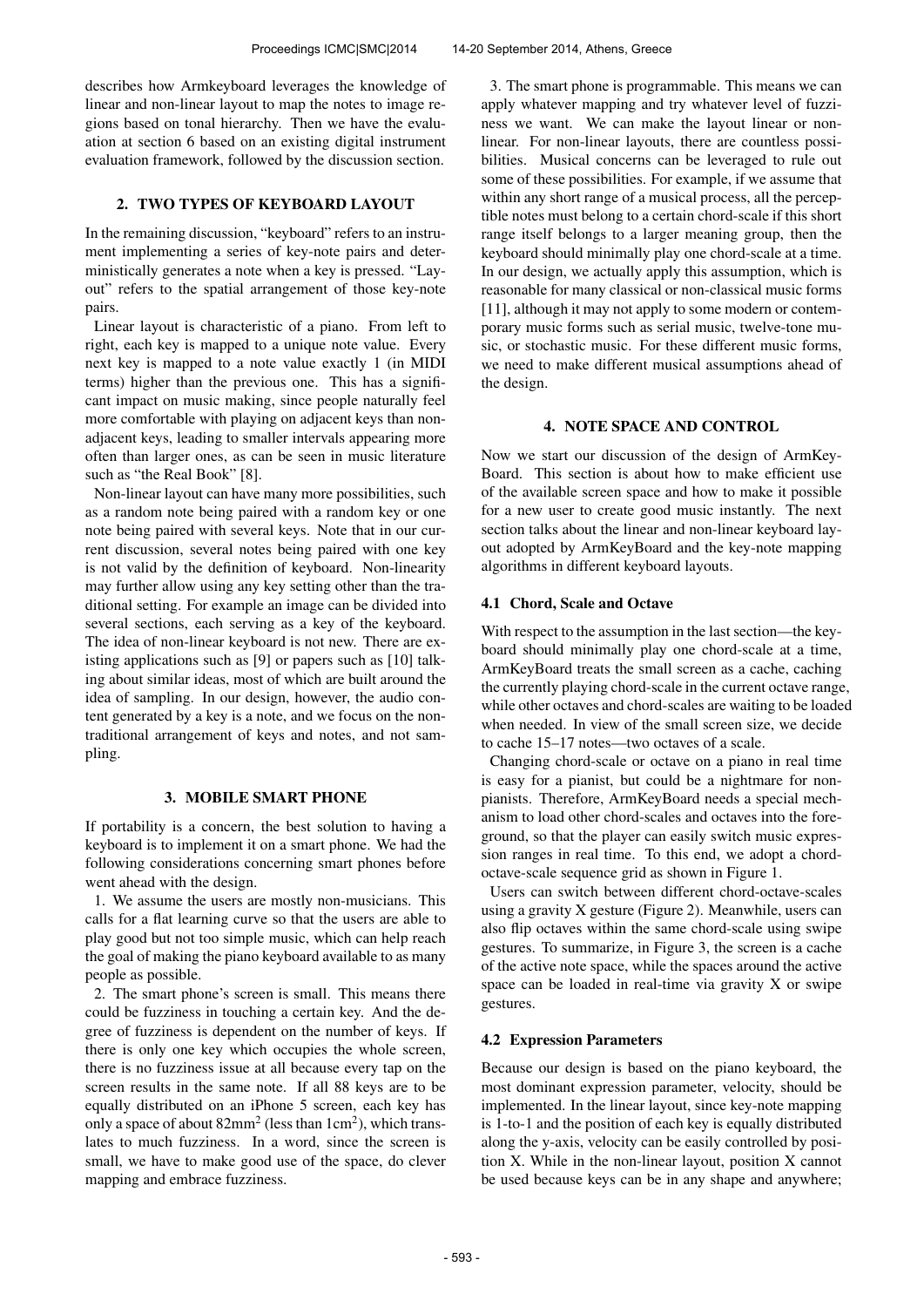describes how Armkeyboard leverages the knowledge of linear and non-linear layout to map the notes to image regions based on tonal hierarchy. Then we have the evaluation at section 6 based on an existing digital instrument evaluation framework, followed by the discussion section.

# 2. TWO TYPES OF KEYBOARD LAYOUT

In the remaining discussion, "keyboard" refers to an instrument implementing a series of key-note pairs and deterministically generates a note when a key is pressed. "Layout" refers to the spatial arrangement of those key-note pairs.

Linear layout is characteristic of a piano. From left to right, each key is mapped to a unique note value. Every next key is mapped to a note value exactly 1 (in MIDI terms) higher than the previous one. This has a significant impact on music making, since people naturally feel more comfortable with playing on adjacent keys than nonadjacent keys, leading to smaller intervals appearing more often than larger ones, as can be seen in music literature such as "the Real Book" [8].

Non-linear layout can have many more possibilities, such as a random note being paired with a random key or one note being paired with several keys. Note that in our current discussion, several notes being paired with one key is not valid by the definition of keyboard. Non-linearity may further allow using any key setting other than the traditional setting. For example an image can be divided into several sections, each serving as a key of the keyboard. The idea of non-linear keyboard is not new. There are existing applications such as [9] or papers such as [10] talking about similar ideas, most of which are built around the idea of sampling. In our design, however, the audio content generated by a key is a note, and we focus on the nontraditional arrangement of keys and notes, and not sampling.

## 3. MOBILE SMART PHONE

If portability is a concern, the best solution to having a keyboard is to implement it on a smart phone. We had the following considerations concerning smart phones before went ahead with the design.

1. We assume the users are mostly non-musicians. This calls for a flat learning curve so that the users are able to play good but not too simple music, which can help reach the goal of making the piano keyboard available to as many people as possible.

2. The smart phone's screen is small. This means there could be fuzziness in touching a certain key. And the degree of fuzziness is dependent on the number of keys. If there is only one key which occupies the whole screen, there is no fuzziness issue at all because every tap on the screen results in the same note. If all 88 keys are to be equally distributed on an iPhone 5 screen, each key has only a space of about  $82mm^2$  (less than  $1cm^2$ ), which translates to much fuzziness. In a word, since the screen is small, we have to make good use of the space, do clever mapping and embrace fuzziness.

3. The smart phone is programmable. This means we can apply whatever mapping and try whatever level of fuzziness we want. We can make the layout linear or nonlinear. For non-linear layouts, there are countless possibilities. Musical concerns can be leveraged to rule out some of these possibilities. For example, if we assume that within any short range of a musical process, all the perceptible notes must belong to a certain chord-scale if this short range itself belongs to a larger meaning group, then the keyboard should minimally play one chord-scale at a time. In our design, we actually apply this assumption, which is reasonable for many classical or non-classical music forms [11], although it may not apply to some modern or contemporary music forms such as serial music, twelve-tone music, or stochastic music. For these different music forms, we need to make different musical assumptions ahead of the design.

# 4. NOTE SPACE AND CONTROL

Now we start our discussion of the design of ArmKey-Board. This section is about how to make efficient use of the available screen space and how to make it possible for a new user to create good music instantly. The next section talks about the linear and non-linear keyboard layout adopted by ArmKeyBoard and the key-note mapping algorithms in different keyboard layouts.

# 4.1 Chord, Scale and Octave

With respect to the assumption in the last section—the keyboard should minimally play one chord-scale at a time, ArmKeyBoard treats the small screen as a cache, caching the currently playing chord-scale in the current octave range, while other octaves and chord-scales are waiting to be loaded when needed. In view of the small screen size, we decide to cache 15–17 notes—two octaves of a scale.

Changing chord-scale or octave on a piano in real time is easy for a pianist, but could be a nightmare for nonpianists. Therefore, ArmKeyBoard needs a special mechanism to load other chord-scales and octaves into the foreground, so that the player can easily switch music expression ranges in real time. To this end, we adopt a chordoctave-scale sequence grid as shown in Figure 1.

Users can switch between different chord-octave-scales using a gravity X gesture (Figure 2). Meanwhile, users can also flip octaves within the same chord-scale using swipe gestures. To summarize, in Figure 3, the screen is a cache of the active note space, while the spaces around the active space can be loaded in real-time via gravity X or swipe gestures.

# 4.2 Expression Parameters

Because our design is based on the piano keyboard, the most dominant expression parameter, velocity, should be implemented. In the linear layout, since key-note mapping is 1-to-1 and the position of each key is equally distributed along the y-axis, velocity can be easily controlled by position X. While in the non-linear layout, position X cannot be used because keys can be in any shape and anywhere;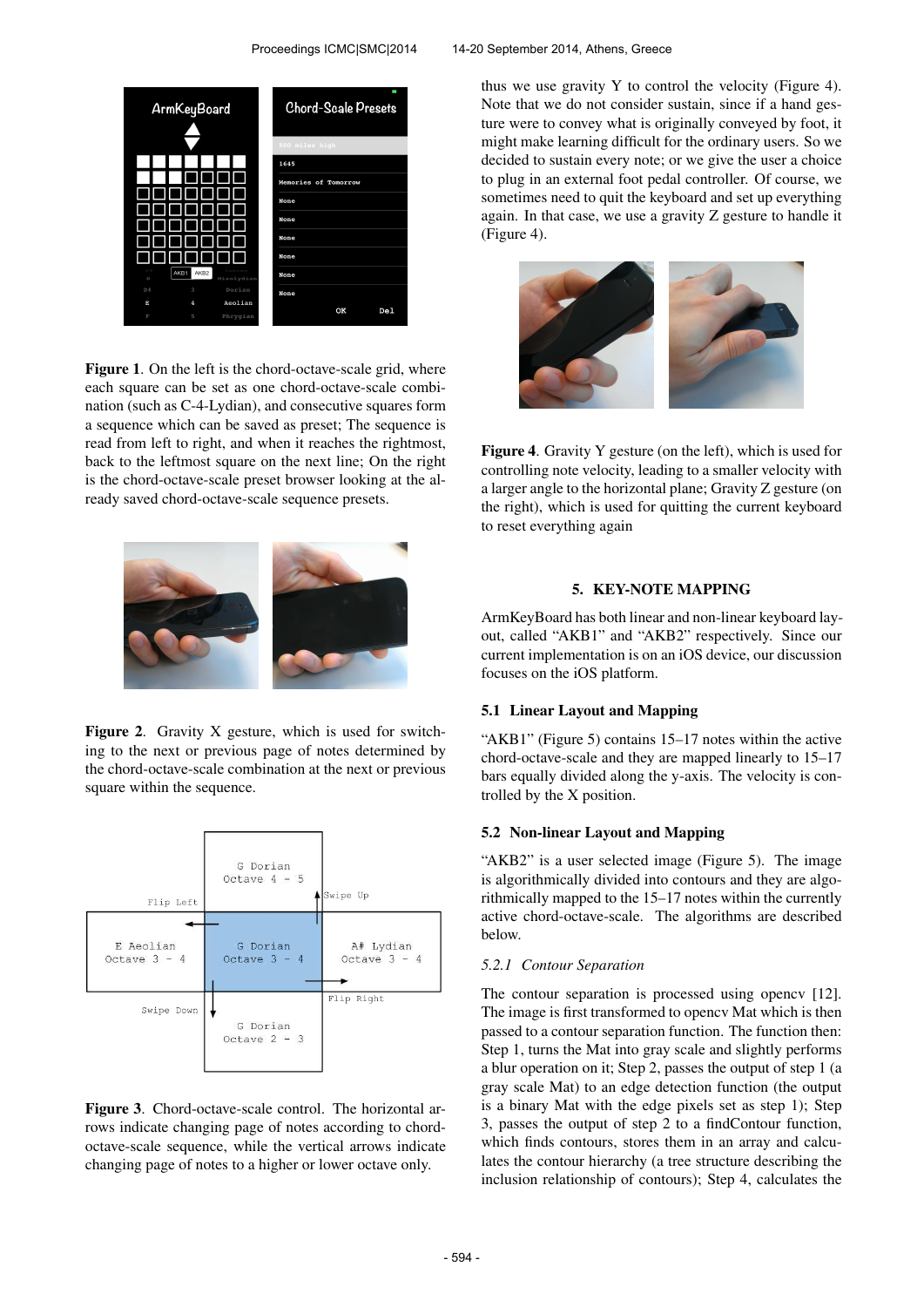## Proceedings ICMC|SMC|2014 14-20 September 2014, Athens, Greece



Figure 1. On the left is the chord-octave-scale grid, where each square can be set as one chord-octave-scale combination (such as C-4-Lydian), and consecutive squares form a sequence which can be saved as preset; The sequence is read from left to right, and when it reaches the rightmost, back to the leftmost square on the next line; On the right is the chord-octave-scale preset browser looking at the already saved chord-octave-scale sequence presets.



Figure 2. Gravity X gesture, which is used for switching to the next or previous page of notes determined by the chord-octave-scale combination at the next or previous square within the sequence.



Figure 3. Chord-octave-scale control. The horizontal arrows indicate changing page of notes according to chordoctave-scale sequence, while the vertical arrows indicate changing page of notes to a higher or lower octave only.

thus we use gravity Y to control the velocity (Figure 4). Note that we do not consider sustain, since if a hand gesture were to convey what is originally conveyed by foot, it might make learning difficult for the ordinary users. So we decided to sustain every note; or we give the user a choice to plug in an external foot pedal controller. Of course, we sometimes need to quit the keyboard and set up everything again. In that case, we use a gravity Z gesture to handle it (Figure 4).



Figure 4. Gravity Y gesture (on the left), which is used for controlling note velocity, leading to a smaller velocity with a larger angle to the horizontal plane; Gravity Z gesture (on the right), which is used for quitting the current keyboard to reset everything again

# 5. KEY-NOTE MAPPING

ArmKeyBoard has both linear and non-linear keyboard layout, called "AKB1" and "AKB2" respectively. Since our current implementation is on an iOS device, our discussion focuses on the iOS platform.

## 5.1 Linear Layout and Mapping

"AKB1" (Figure 5) contains 15–17 notes within the active chord-octave-scale and they are mapped linearly to 15–17 bars equally divided along the y-axis. The velocity is controlled by the X position.

#### 5.2 Non-linear Layout and Mapping

"AKB2" is a user selected image (Figure 5). The image is algorithmically divided into contours and they are algorithmically mapped to the 15–17 notes within the currently active chord-octave-scale. The algorithms are described below.

#### *5.2.1 Contour Separation*

The contour separation is processed using opencv [12]. The image is first transformed to opencv Mat which is then passed to a contour separation function. The function then: Step 1, turns the Mat into gray scale and slightly performs a blur operation on it; Step 2, passes the output of step 1 (a gray scale Mat) to an edge detection function (the output is a binary Mat with the edge pixels set as step 1); Step 3, passes the output of step 2 to a findContour function, which finds contours, stores them in an array and calculates the contour hierarchy (a tree structure describing the inclusion relationship of contours); Step 4, calculates the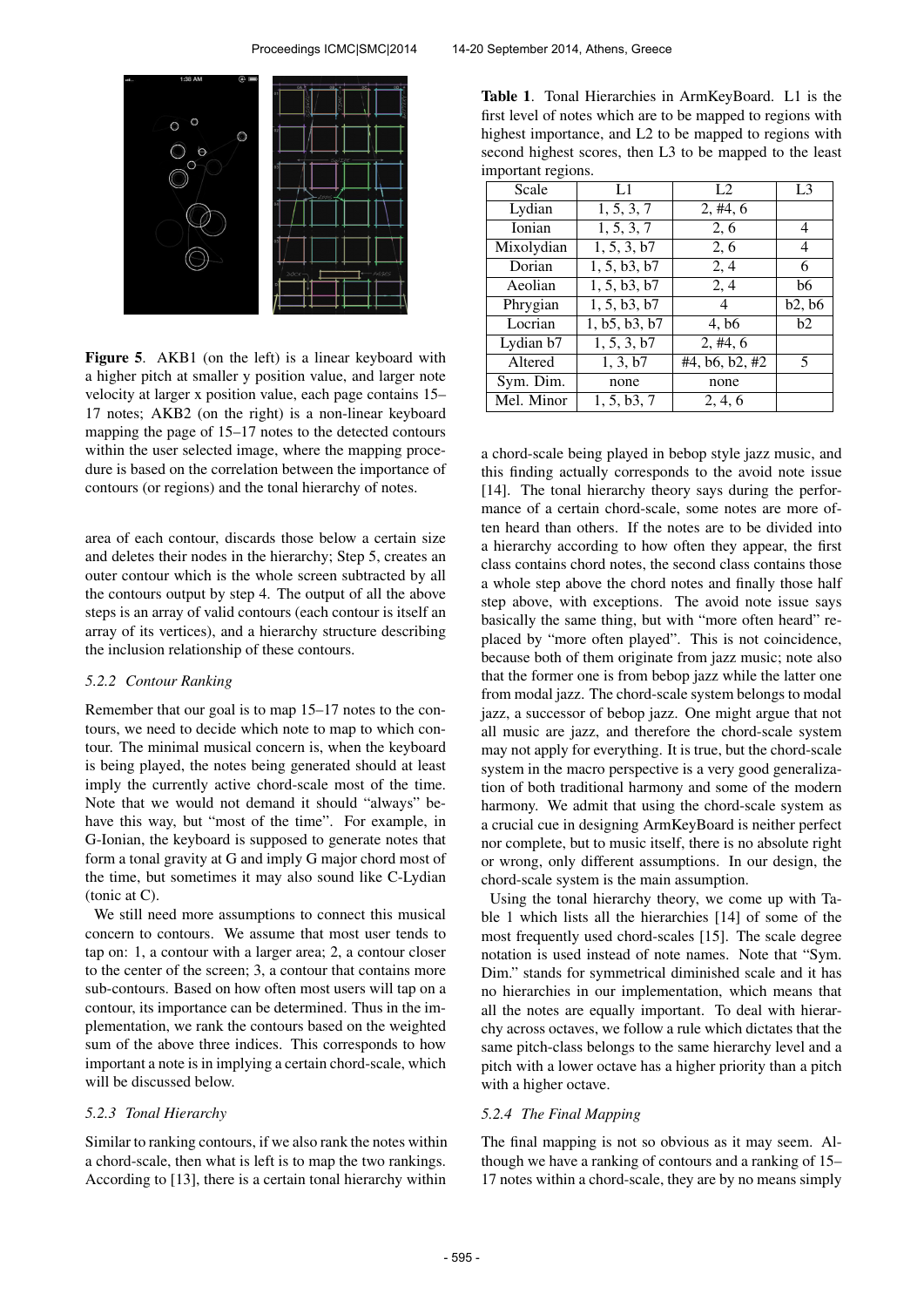

Figure 5. AKB1 (on the left) is a linear keyboard with a higher pitch at smaller y position value, and larger note velocity at larger x position value, each page contains 15– 17 notes; AKB2 (on the right) is a non-linear keyboard mapping the page of 15–17 notes to the detected contours within the user selected image, where the mapping procedure is based on the correlation between the importance of contours (or regions) and the tonal hierarchy of notes.

area of each contour, discards those below a certain size and deletes their nodes in the hierarchy; Step 5, creates an outer contour which is the whole screen subtracted by all the contours output by step 4. The output of all the above steps is an array of valid contours (each contour is itself an array of its vertices), and a hierarchy structure describing the inclusion relationship of these contours.

#### *5.2.2 Contour Ranking*

Remember that our goal is to map 15–17 notes to the contours, we need to decide which note to map to which contour. The minimal musical concern is, when the keyboard is being played, the notes being generated should at least imply the currently active chord-scale most of the time. Note that we would not demand it should "always" behave this way, but "most of the time". For example, in G-Ionian, the keyboard is supposed to generate notes that form a tonal gravity at G and imply G major chord most of the time, but sometimes it may also sound like C-Lydian (tonic at C).

We still need more assumptions to connect this musical concern to contours. We assume that most user tends to tap on: 1, a contour with a larger area; 2, a contour closer to the center of the screen; 3, a contour that contains more sub-contours. Based on how often most users will tap on a contour, its importance can be determined. Thus in the implementation, we rank the contours based on the weighted sum of the above three indices. This corresponds to how important a note is in implying a certain chord-scale, which will be discussed below.

#### *5.2.3 Tonal Hierarchy*

Similar to ranking contours, if we also rank the notes within a chord-scale, then what is left is to map the two rankings. According to [13], there is a certain tonal hierarchy within

Table 1. Tonal Hierarchies in ArmKeyBoard. L1 is the first level of notes which are to be mapped to regions with highest importance, and L2 to be mapped to regions with second highest scores, then L3 to be mapped to the least important regions.

| L1            | L2                | L <sub>3</sub> |
|---------------|-------------------|----------------|
| 1, 5, 3, 7    | 2, #4, 6          |                |
| 1, 5, 3, 7    | 2, 6              | 4              |
| 1, 5, 3, b7   | 2, 6              | 4              |
| 1, 5, b3, b7  | 2,4               | 6              |
| 1, 5, b3, b7  | 2, 4              | b6             |
| 1, 5, b3, b7  | 4                 | b2, b6         |
| 1, b5, b3, b7 | 4, b <sub>6</sub> | b2             |
| 1, 5, 3, b7   | 2, #4, 6          |                |
| 1, 3, b7      | #4, b6, b2, #2    | 5              |
| none          | none              |                |
| 1, 5, b3, 7   | 2, 4, 6           |                |
|               |                   |                |

a chord-scale being played in bebop style jazz music, and this finding actually corresponds to the avoid note issue [14]. The tonal hierarchy theory says during the performance of a certain chord-scale, some notes are more often heard than others. If the notes are to be divided into a hierarchy according to how often they appear, the first class contains chord notes, the second class contains those a whole step above the chord notes and finally those half step above, with exceptions. The avoid note issue says basically the same thing, but with "more often heard" replaced by "more often played". This is not coincidence, because both of them originate from jazz music; note also that the former one is from bebop jazz while the latter one from modal jazz. The chord-scale system belongs to modal jazz, a successor of bebop jazz. One might argue that not all music are jazz, and therefore the chord-scale system may not apply for everything. It is true, but the chord-scale system in the macro perspective is a very good generalization of both traditional harmony and some of the modern harmony. We admit that using the chord-scale system as a crucial cue in designing ArmKeyBoard is neither perfect nor complete, but to music itself, there is no absolute right or wrong, only different assumptions. In our design, the chord-scale system is the main assumption.

Using the tonal hierarchy theory, we come up with Table 1 which lists all the hierarchies [14] of some of the most frequently used chord-scales [15]. The scale degree notation is used instead of note names. Note that "Sym. Dim." stands for symmetrical diminished scale and it has no hierarchies in our implementation, which means that all the notes are equally important. To deal with hierarchy across octaves, we follow a rule which dictates that the same pitch-class belongs to the same hierarchy level and a pitch with a lower octave has a higher priority than a pitch with a higher octave.

### *5.2.4 The Final Mapping*

The final mapping is not so obvious as it may seem. Although we have a ranking of contours and a ranking of 15– 17 notes within a chord-scale, they are by no means simply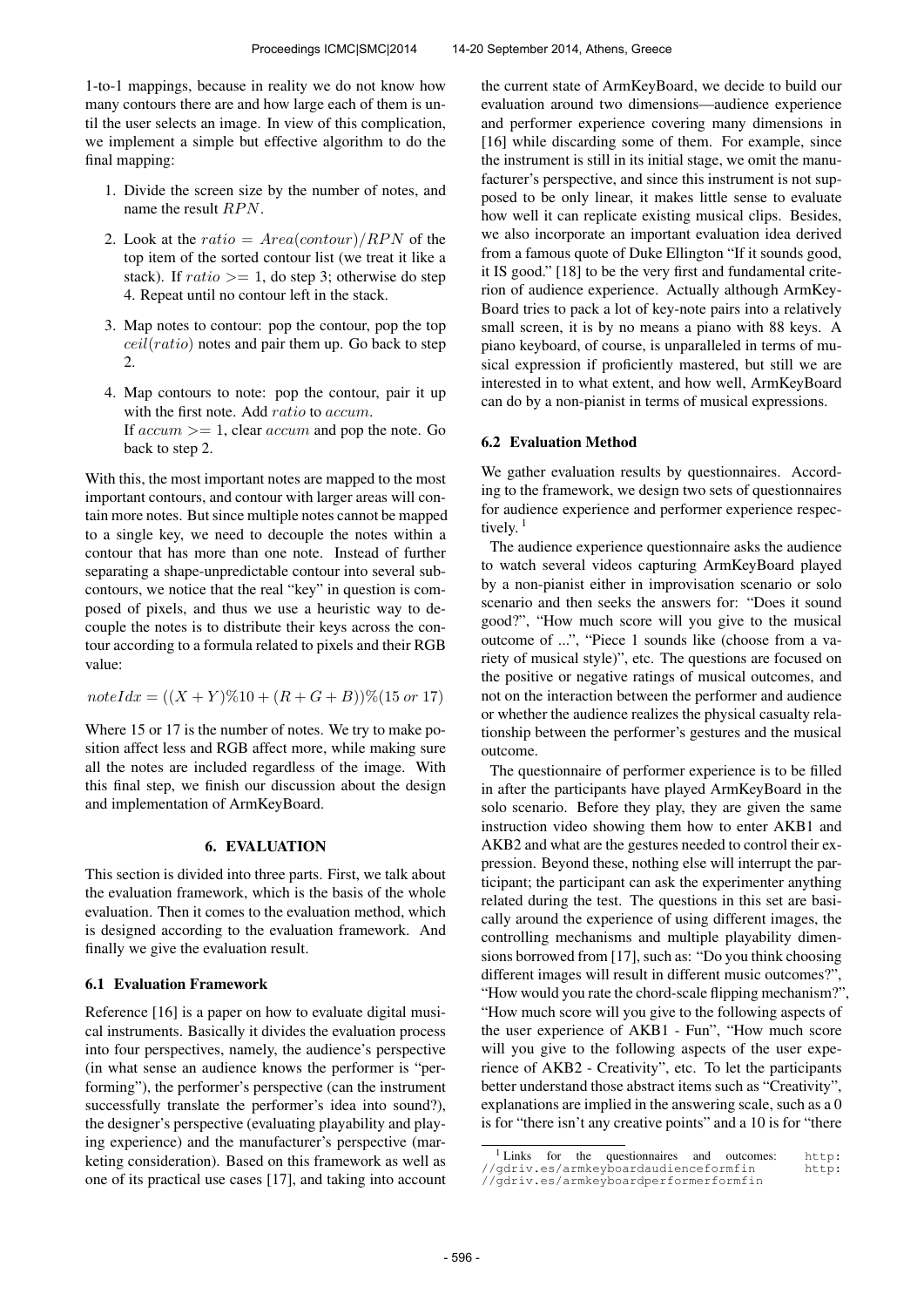1-to-1 mappings, because in reality we do not know how many contours there are and how large each of them is until the user selects an image. In view of this complication, we implement a simple but effective algorithm to do the final mapping:

- 1. Divide the screen size by the number of notes, and name the result  $RPN$ .
- 2. Look at the ratio =  $Area(constour)/RPN$  of the top item of the sorted contour list (we treat it like a stack). If  $ratio \geq 1$ , do step 3; otherwise do step 4. Repeat until no contour left in the stack.
- 3. Map notes to contour: pop the contour, pop the top  $ceil(ratio)$  notes and pair them up. Go back to step  $\mathcal{L}$
- 4. Map contours to note: pop the contour, pair it up with the first note. Add ratio to accum. If  $accum \geq 1$ , clear  $accum$  and pop the note. Go back to step 2.

With this, the most important notes are mapped to the most important contours, and contour with larger areas will contain more notes. But since multiple notes cannot be mapped to a single key, we need to decouple the notes within a contour that has more than one note. Instead of further separating a shape-unpredictable contour into several subcontours, we notice that the real "key" in question is composed of pixels, and thus we use a heuristic way to decouple the notes is to distribute their keys across the contour according to a formula related to pixels and their RGB value:

$$
noteIdx = ((X + Y)\%10 + (R + G + B))\%(15 \text{ or } 17)
$$

Where 15 or 17 is the number of notes. We try to make position affect less and RGB affect more, while making sure all the notes are included regardless of the image. With this final step, we finish our discussion about the design and implementation of ArmKeyBoard.

#### 6. EVALUATION

This section is divided into three parts. First, we talk about the evaluation framework, which is the basis of the whole evaluation. Then it comes to the evaluation method, which is designed according to the evaluation framework. And finally we give the evaluation result.

#### 6.1 Evaluation Framework

Reference [16] is a paper on how to evaluate digital musical instruments. Basically it divides the evaluation process into four perspectives, namely, the audience's perspective (in what sense an audience knows the performer is "performing"), the performer's perspective (can the instrument successfully translate the performer's idea into sound?), the designer's perspective (evaluating playability and playing experience) and the manufacturer's perspective (marketing consideration). Based on this framework as well as one of its practical use cases [17], and taking into account the current state of ArmKeyBoard, we decide to build our evaluation around two dimensions—audience experience and performer experience covering many dimensions in [16] while discarding some of them. For example, since the instrument is still in its initial stage, we omit the manufacturer's perspective, and since this instrument is not supposed to be only linear, it makes little sense to evaluate how well it can replicate existing musical clips. Besides, we also incorporate an important evaluation idea derived from a famous quote of Duke Ellington "If it sounds good, it IS good." [18] to be the very first and fundamental criterion of audience experience. Actually although ArmKey-Board tries to pack a lot of key-note pairs into a relatively small screen, it is by no means a piano with 88 keys. A piano keyboard, of course, is unparalleled in terms of musical expression if proficiently mastered, but still we are interested in to what extent, and how well, ArmKeyBoard can do by a non-pianist in terms of musical expressions.

#### 6.2 Evaluation Method

We gather evaluation results by questionnaires. According to the framework, we design two sets of questionnaires for audience experience and performer experience respectively.<sup>1</sup>

The audience experience questionnaire asks the audience to watch several videos capturing ArmKeyBoard played by a non-pianist either in improvisation scenario or solo scenario and then seeks the answers for: "Does it sound good?", "How much score will you give to the musical outcome of ...", "Piece 1 sounds like (choose from a variety of musical style)", etc. The questions are focused on the positive or negative ratings of musical outcomes, and not on the interaction between the performer and audience or whether the audience realizes the physical casualty relationship between the performer's gestures and the musical outcome.

The questionnaire of performer experience is to be filled in after the participants have played ArmKeyBoard in the solo scenario. Before they play, they are given the same instruction video showing them how to enter AKB1 and AKB2 and what are the gestures needed to control their expression. Beyond these, nothing else will interrupt the participant; the participant can ask the experimenter anything related during the test. The questions in this set are basically around the experience of using different images, the controlling mechanisms and multiple playability dimensions borrowed from [17], such as: "Do you think choosing different images will result in different music outcomes?", "How would you rate the chord-scale flipping mechanism?", "How much score will you give to the following aspects of the user experience of AKB1 - Fun", "How much score will you give to the following aspects of the user experience of AKB2 - Creativity", etc. To let the participants better understand those abstract items such as "Creativity", explanations are implied in the answering scale, such as a 0 is for "there isn't any creative points" and a 10 is for "there

<sup>1</sup> Links for the questionnaires and outcomes: [http:](http://gdriv.es/armkeyboardaudienceformfin) [//gdriv.es/armkeyboardaudienceformfin](http://gdriv.es/armkeyboardaudienceformfin) [http:](http://gdriv.es/armkeyboardperformerformfin) [//gdriv.es/armkeyboardperformerformfin](http://gdriv.es/armkeyboardperformerformfin)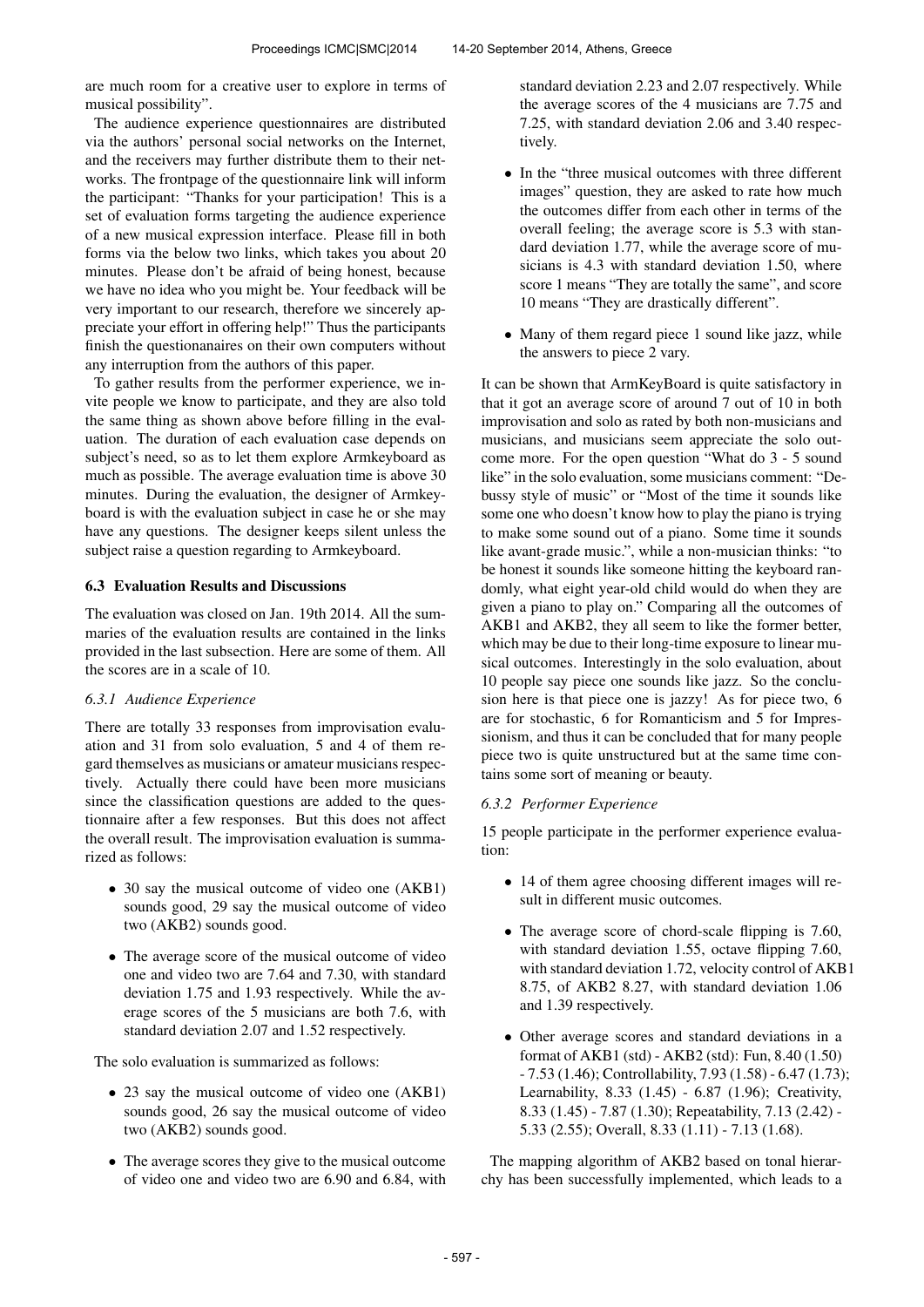are much room for a creative user to explore in terms of musical possibility".

The audience experience questionnaires are distributed via the authors' personal social networks on the Internet, and the receivers may further distribute them to their networks. The frontpage of the questionnaire link will inform the participant: "Thanks for your participation! This is a set of evaluation forms targeting the audience experience of a new musical expression interface. Please fill in both forms via the below two links, which takes you about 20 minutes. Please don't be afraid of being honest, because we have no idea who you might be. Your feedback will be very important to our research, therefore we sincerely appreciate your effort in offering help!" Thus the participants finish the questionanaires on their own computers without any interruption from the authors of this paper.

To gather results from the performer experience, we invite people we know to participate, and they are also told the same thing as shown above before filling in the evaluation. The duration of each evaluation case depends on subject's need, so as to let them explore Armkeyboard as much as possible. The average evaluation time is above 30 minutes. During the evaluation, the designer of Armkeyboard is with the evaluation subject in case he or she may have any questions. The designer keeps silent unless the subject raise a question regarding to Armkeyboard.

# 6.3 Evaluation Results and Discussions

The evaluation was closed on Jan. 19th 2014. All the summaries of the evaluation results are contained in the links provided in the last subsection. Here are some of them. All the scores are in a scale of 10.

# *6.3.1 Audience Experience*

There are totally 33 responses from improvisation evaluation and 31 from solo evaluation, 5 and 4 of them regard themselves as musicians or amateur musicians respectively. Actually there could have been more musicians since the classification questions are added to the questionnaire after a few responses. But this does not affect the overall result. The improvisation evaluation is summarized as follows:

- 30 say the musical outcome of video one (AKB1) sounds good, 29 say the musical outcome of video two (AKB2) sounds good.
- The average score of the musical outcome of video one and video two are 7.64 and 7.30, with standard deviation 1.75 and 1.93 respectively. While the average scores of the 5 musicians are both 7.6, with standard deviation 2.07 and 1.52 respectively.

The solo evaluation is summarized as follows:

- 23 say the musical outcome of video one (AKB1) sounds good, 26 say the musical outcome of video two (AKB2) sounds good.
- The average scores they give to the musical outcome of video one and video two are 6.90 and 6.84, with

standard deviation 2.23 and 2.07 respectively. While the average scores of the 4 musicians are 7.75 and 7.25, with standard deviation 2.06 and 3.40 respectively.

- In the "three musical outcomes with three different images" question, they are asked to rate how much the outcomes differ from each other in terms of the overall feeling; the average score is 5.3 with standard deviation 1.77, while the average score of musicians is 4.3 with standard deviation 1.50, where score 1 means "They are totally the same", and score 10 means "They are drastically different".
- Many of them regard piece 1 sound like jazz, while the answers to piece 2 vary.

It can be shown that ArmKeyBoard is quite satisfactory in that it got an average score of around 7 out of 10 in both improvisation and solo as rated by both non-musicians and musicians, and musicians seem appreciate the solo outcome more. For the open question "What do 3 - 5 sound like" in the solo evaluation, some musicians comment: "Debussy style of music" or "Most of the time it sounds like some one who doesn't know how to play the piano is trying to make some sound out of a piano. Some time it sounds like avant-grade music.", while a non-musician thinks: "to be honest it sounds like someone hitting the keyboard randomly, what eight year-old child would do when they are given a piano to play on." Comparing all the outcomes of AKB1 and AKB2, they all seem to like the former better, which may be due to their long-time exposure to linear musical outcomes. Interestingly in the solo evaluation, about 10 people say piece one sounds like jazz. So the conclusion here is that piece one is jazzy! As for piece two, 6 are for stochastic, 6 for Romanticism and 5 for Impressionism, and thus it can be concluded that for many people piece two is quite unstructured but at the same time contains some sort of meaning or beauty.

## *6.3.2 Performer Experience*

15 people participate in the performer experience evaluation:

- 14 of them agree choosing different images will result in different music outcomes.
- The average score of chord-scale flipping is 7.60, with standard deviation 1.55, octave flipping 7.60, with standard deviation 1.72, velocity control of AKB1 8.75, of AKB2 8.27, with standard deviation 1.06 and 1.39 respectively.
- Other average scores and standard deviations in a format of AKB1 (std) - AKB2 (std): Fun, 8.40 (1.50) - 7.53 (1.46); Controllability, 7.93 (1.58) - 6.47 (1.73); Learnability, 8.33 (1.45) - 6.87 (1.96); Creativity, 8.33 (1.45) - 7.87 (1.30); Repeatability, 7.13 (2.42) - 5.33 (2.55); Overall, 8.33 (1.11) - 7.13 (1.68).

The mapping algorithm of AKB2 based on tonal hierarchy has been successfully implemented, which leads to a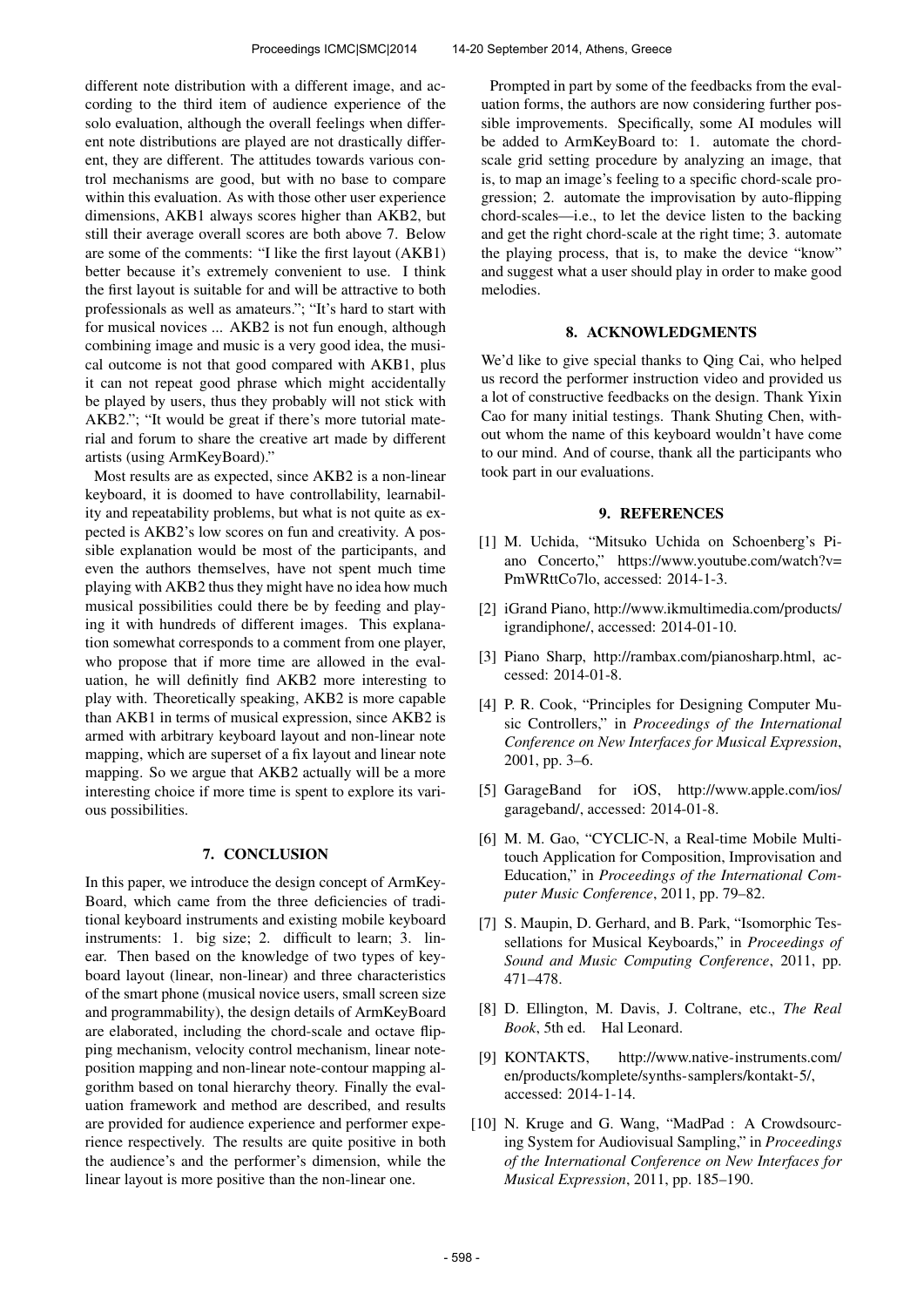different note distribution with a different image, and according to the third item of audience experience of the solo evaluation, although the overall feelings when different note distributions are played are not drastically different, they are different. The attitudes towards various control mechanisms are good, but with no base to compare within this evaluation. As with those other user experience dimensions, AKB1 always scores higher than AKB2, but still their average overall scores are both above 7. Below are some of the comments: "I like the first layout (AKB1) better because it's extremely convenient to use. I think the first layout is suitable for and will be attractive to both professionals as well as amateurs."; "It's hard to start with for musical novices ... AKB2 is not fun enough, although combining image and music is a very good idea, the musical outcome is not that good compared with AKB1, plus it can not repeat good phrase which might accidentally be played by users, thus they probably will not stick with AKB2."; "It would be great if there's more tutorial material and forum to share the creative art made by different artists (using ArmKeyBoard)."

Most results are as expected, since AKB2 is a non-linear keyboard, it is doomed to have controllability, learnability and repeatability problems, but what is not quite as expected is AKB2's low scores on fun and creativity. A possible explanation would be most of the participants, and even the authors themselves, have not spent much time playing with AKB2 thus they might have no idea how much musical possibilities could there be by feeding and playing it with hundreds of different images. This explanation somewhat corresponds to a comment from one player, who propose that if more time are allowed in the evaluation, he will definitly find AKB2 more interesting to play with. Theoretically speaking, AKB2 is more capable than AKB1 in terms of musical expression, since AKB2 is armed with arbitrary keyboard layout and non-linear note mapping, which are superset of a fix layout and linear note mapping. So we argue that AKB2 actually will be a more interesting choice if more time is spent to explore its various possibilities.

#### 7. CONCLUSION

In this paper, we introduce the design concept of ArmKey-Board, which came from the three deficiencies of traditional keyboard instruments and existing mobile keyboard instruments: 1. big size; 2. difficult to learn; 3. linear. Then based on the knowledge of two types of keyboard layout (linear, non-linear) and three characteristics of the smart phone (musical novice users, small screen size and programmability), the design details of ArmKeyBoard are elaborated, including the chord-scale and octave flipping mechanism, velocity control mechanism, linear noteposition mapping and non-linear note-contour mapping algorithm based on tonal hierarchy theory. Finally the evaluation framework and method are described, and results are provided for audience experience and performer experience respectively. The results are quite positive in both the audience's and the performer's dimension, while the linear layout is more positive than the non-linear one.

Prompted in part by some of the feedbacks from the evaluation forms, the authors are now considering further possible improvements. Specifically, some AI modules will be added to ArmKeyBoard to: 1. automate the chordscale grid setting procedure by analyzing an image, that is, to map an image's feeling to a specific chord-scale progression; 2. automate the improvisation by auto-flipping chord-scales—i.e., to let the device listen to the backing and get the right chord-scale at the right time; 3. automate the playing process, that is, to make the device "know" and suggest what a user should play in order to make good melodies.

# 8. ACKNOWLEDGMENTS

We'd like to give special thanks to Qing Cai, who helped us record the performer instruction video and provided us a lot of constructive feedbacks on the design. Thank Yixin Cao for many initial testings. Thank Shuting Chen, without whom the name of this keyboard wouldn't have come to our mind. And of course, thank all the participants who took part in our evaluations.

#### 9. REFERENCES

- [1] M. Uchida, "Mitsuko Uchida on Schoenberg's Piano Concerto," [https://www.youtube.com/watch?v=](https://www.youtube.com/watch?v=PmWRttCo7lo) [PmWRttCo7lo,](https://www.youtube.com/watch?v=PmWRttCo7lo) accessed: 2014-1-3.
- [2] iGrand Piano, [http://www.ikmultimedia.com/products/](http://www.ikmultimedia.com/products/igrandiphone/) [igrandiphone/,](http://www.ikmultimedia.com/products/igrandiphone/) accessed: 2014-01-10.
- [3] Piano Sharp, [http://rambax.com/pianosharp.html,](http://rambax.com/pianosharp.html) accessed: 2014-01-8.
- [4] P. R. Cook, "Principles for Designing Computer Music Controllers," in *Proceedings of the International Conference on New Interfaces for Musical Expression*, 2001, pp. 3–6.
- [5] GarageBand for iOS, [http://www.apple.com/ios/](http://www.apple.com/ios/garageband/) [garageband/,](http://www.apple.com/ios/garageband/) accessed: 2014-01-8.
- [6] M. M. Gao, "CYCLIC-N, a Real-time Mobile Multitouch Application for Composition, Improvisation and Education," in *Proceedings of the International Computer Music Conference*, 2011, pp. 79–82.
- [7] S. Maupin, D. Gerhard, and B. Park, "Isomorphic Tessellations for Musical Keyboards," in *Proceedings of Sound and Music Computing Conference*, 2011, pp. 471–478.
- [8] D. Ellington, M. Davis, J. Coltrane, etc., *The Real Book*, 5th ed. Hal Leonard.
- [9] KONTAKTS, [http://www.native-instruments.com/](http://www.native-instruments.com/en/products/komplete/synths-samplers/kontakt-5/) [en/products/komplete/synths-samplers/kontakt-5/,](http://www.native-instruments.com/en/products/komplete/synths-samplers/kontakt-5/) accessed: 2014-1-14.
- [10] N. Kruge and G. Wang, "MadPad : A Crowdsourcing System for Audiovisual Sampling," in *Proceedings of the International Conference on New Interfaces for Musical Expression*, 2011, pp. 185–190.